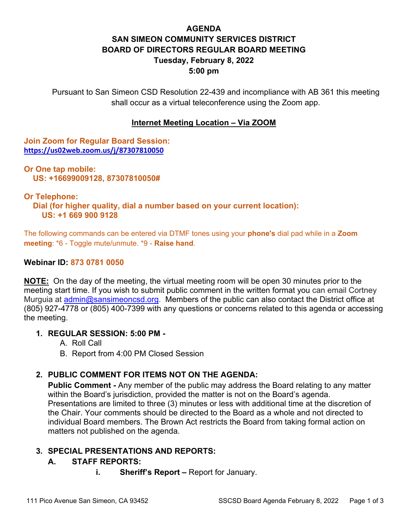# **AGENDA SAN SIMEON COMMUNITY SERVICES DISTRICT BOARD OF DIRECTORS REGULAR BOARD MEETING Tuesday, February 8, 2022 5:00 pm**

Pursuant to San Simeon CSD Resolution 22-439 and incompliance with AB 361 this meeting shall occur as a virtual teleconference using the Zoom app.

### **Internet Meeting Location – Via ZOOM**

**Join Zoom for Regular Board Session: <https://us02web.zoom.us/j/87307810050>**

**Or One tap mobile: US: +16699009128, 87307810050#** 

#### **Or Telephone:**

 **Dial (for higher quality, dial a number based on your current location): US: +1 669 900 9128** 

The following commands can be entered via DTMF tones using your **phone's** dial pad while in a **Zoom meeting**: \*6 - Toggle mute/unmute. \*9 - **Raise hand**.

### **Webinar ID: 873 0781 0050**

**NOTE:** On the day of the meeting, the virtual meeting room will be open 30 minutes prior to the meeting start time. If you wish to submit public comment in the written format you can email Cortney Murguia at [admin@sansimeoncsd.org.](mailto:admin@sansimeoncsd.org) Members of the public can also contact the District office at (805) 927-4778 or (805) 400-7399 with any questions or concerns related to this agenda or accessing the meeting.

#### **1. REGULAR SESSION: 5:00 PM -**

- A. Roll Call
- B. Report from 4:00 PM Closed Session

# **2. PUBLIC COMMENT FOR ITEMS NOT ON THE AGENDA:**

**Public Comment -** Any member of the public may address the Board relating to any matter within the Board's jurisdiction, provided the matter is not on the Board's agenda. Presentations are limited to three (3) minutes or less with additional time at the discretion of the Chair. Your comments should be directed to the Board as a whole and not directed to individual Board members. The Brown Act restricts the Board from taking formal action on matters not published on the agenda.

# **3. SPECIAL PRESENTATIONS AND REPORTS:**

# **A. STAFF REPORTS:**

**i. Sheriff's Report –** Report for January.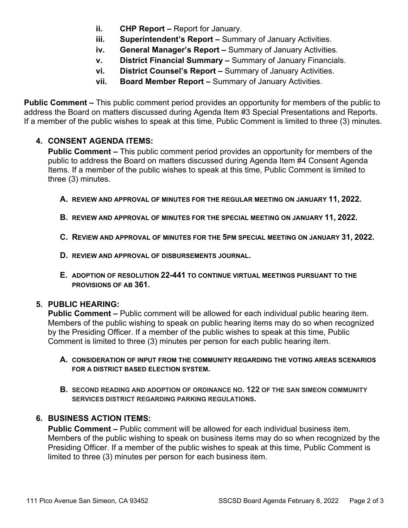- **ii. CHP Report –** Report for January.
- **iii. Superintendent's Report –** Summary of January Activities.
- **iv. General Manager's Report –** Summary of January Activities.
- **v. District Financial Summary –** Summary of January Financials.
- **vi. District Counsel's Report –** Summary of January Activities.
- **vii. Board Member Report –** Summary of January Activities.

**Public Comment –** This public comment period provides an opportunity for members of the public to address the Board on matters discussed during Agenda Item #3 Special Presentations and Reports. If a member of the public wishes to speak at this time, Public Comment is limited to three (3) minutes.

### **4. CONSENT AGENDA ITEMS:**

**Public Comment –** This public comment period provides an opportunity for members of the public to address the Board on matters discussed during Agenda Item #4 Consent Agenda Items. If a member of the public wishes to speak at this time, Public Comment is limited to three (3) minutes.

- **A. REVIEW AND APPROVAL OF MINUTES FOR THE REGULAR MEETING ON JANUARY 11, 2022.**
- **B. REVIEW AND APPROVAL OF MINUTES FOR THE SPECIAL MEETING ON JANUARY 11, 2022.**
- **C. REVIEW AND APPROVAL OF MINUTES FOR THE 5PM SPECIAL MEETING ON JANUARY 31, 2022.**
- **D. REVIEW AND APPROVAL OF DISBURSEMENTS JOURNAL.**
- **E. ADOPTION OF RESOLUTION 22-441 TO CONTINUE VIRTUAL MEETINGS PURSUANT TO THE PROVISIONS OF AB 361.**

#### **5. PUBLIC HEARING:**

**Public Comment –** Public comment will be allowed for each individual public hearing item. Members of the public wishing to speak on public hearing items may do so when recognized by the Presiding Officer. If a member of the public wishes to speak at this time, Public Comment is limited to three (3) minutes per person for each public hearing item.

- **A. CONSIDERATION OF INPUT FROM THE COMMUNITY REGARDING THE VOTING AREAS SCENARIOS FOR A DISTRICT BASED ELECTION SYSTEM.**
- **B. SECOND READING AND ADOPTION OF ORDINANCE NO. 122 OF THE SAN SIMEON COMMUNITY SERVICES DISTRICT REGARDING PARKING REGULATIONS.**

### **6. BUSINESS ACTION ITEMS:**

**Public Comment –** Public comment will be allowed for each individual business item. Members of the public wishing to speak on business items may do so when recognized by the Presiding Officer. If a member of the public wishes to speak at this time, Public Comment is limited to three (3) minutes per person for each business item.